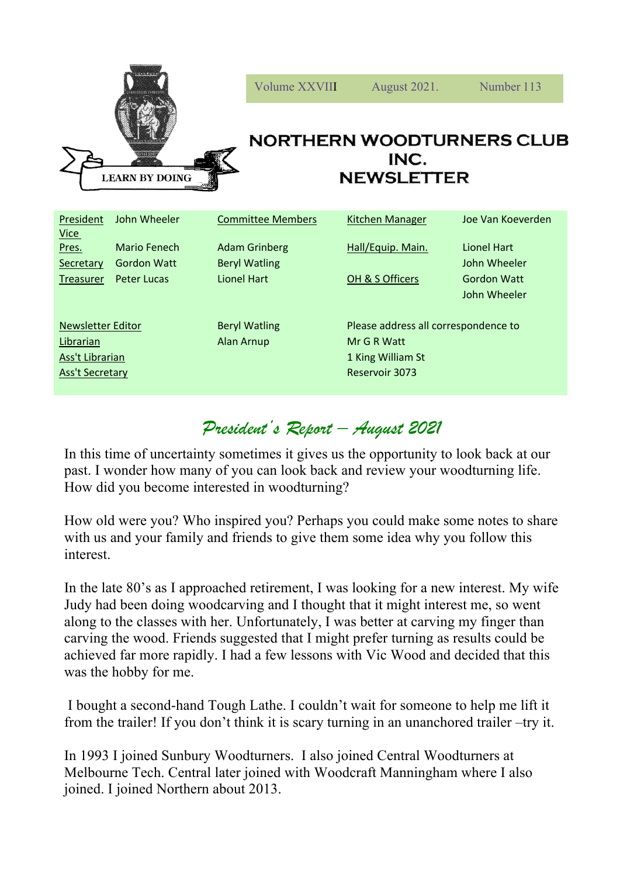

| President<br><b>Vice</b> | John Wheeler       | <b>Committee Members</b> | Kitchen Manager                      | Joe Van Koeverden  |
|--------------------------|--------------------|--------------------------|--------------------------------------|--------------------|
| Pres.                    | Mario Fenech       | <b>Adam Grinberg</b>     | Hall/Equip. Main.                    | Lionel Hart        |
| Secretary                | <b>Gordon Watt</b> | <b>Beryl Watling</b>     |                                      | John Wheeler       |
| Treasurer                | Peter Lucas        | <b>Lionel Hart</b>       | OH & S Officers                      | <b>Gordon Watt</b> |
|                          |                    |                          |                                      | John Wheeler       |
|                          |                    |                          |                                      |                    |
| Newsletter Editor        |                    | <b>Beryl Watling</b>     | Please address all correspondence to |                    |
| Librarian                |                    | Alan Arnup               | Mr G R Watt                          |                    |
| Ass't Librarian          |                    |                          | 1 King William St                    |                    |
| Ass't Secretary          |                    |                          | Reservoir 3073                       |                    |
|                          |                    |                          |                                      |                    |

# *President's Report – August 2021*

In this time of uncertainty sometimes it gives us the opportunity to look back at our past. I wonder how many of you can look back and review your woodturning life. How did you become interested in woodturning?

How old were you? Who inspired you? Perhaps you could make some notes to share with us and your family and friends to give them some idea why you follow this interest.

In the late 80's as I approached retirement, I was looking for a new interest. My wife Judy had been doing woodcarving and I thought that it might interest me, so went along to the classes with her. Unfortunately, I was better at carving my finger than carving the wood. Friends suggested that I might prefer turning as results could be achieved far more rapidly. I had a few lessons with Vic Wood and decided that this was the hobby for me.

I bought a second-hand Tough Lathe. I couldn't wait for someone to help me lift it from the trailer! If you don't think it is scary turning in an unanchored trailer –try it.

In 1993 I joined Sunbury Woodturners. I also joined Central Woodturners at Melbourne Tech. Central later joined with Woodcraft Manningham where I also joined. I joined Northern about 2013.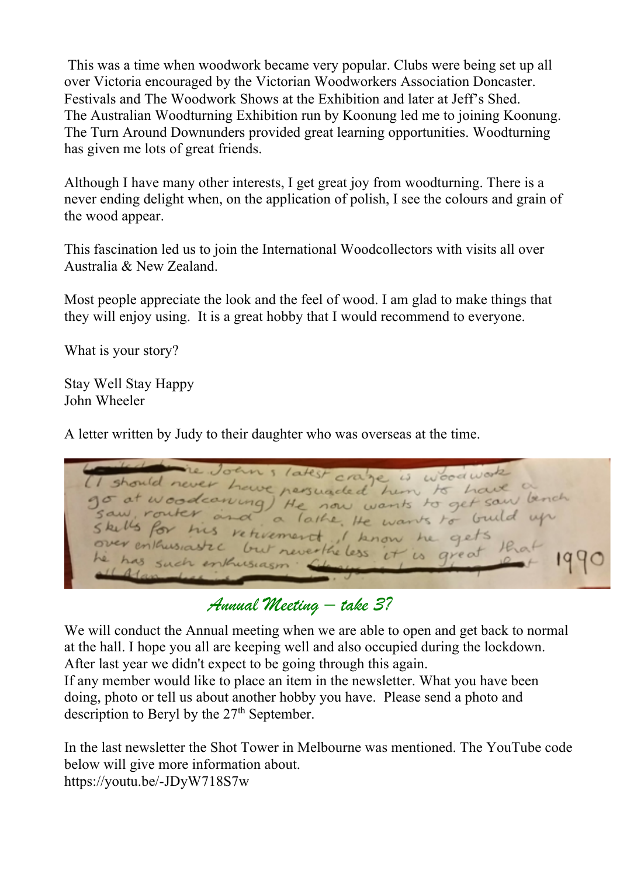This was a time when woodwork became very popular. Clubs were being set up all over Victoria encouraged by the Victorian Woodworkers Association Doncaster. Festivals and The Woodwork Shows at the Exhibition and later at Jeff's Shed. The Australian Woodturning Exhibition run by Koonung led me to joining Koonung. The Turn Around Downunders provided great learning opportunities. Woodturning has given me lots of great friends.

Although I have many other interests, I get great joy from woodturning. There is a never ending delight when, on the application of polish, I see the colours and grain of the wood appear.

This fascination led us to join the International Woodcollectors with visits all over Australia & New Zealand.

Most people appreciate the look and the feel of wood. I am glad to make things that they will enjoy using. It is a great hobby that I would recommend to everyone.

What is your story?

Stay Well Stay Happy John Wheeler

A letter written by Judy to their daughter who was overseas at the time.

Joans latest craze is woodwa should never have nersuaded him to have go at woodcaning) He now wants to get saw lench saw, router and a lathe. He wants to build up Skells for his retirement, I know get ver enthusiastec but neverthe less  $H$  $\alpha$ area enkusiasm

*Annual Meeting – take 3?*

We will conduct the Annual meeting when we are able to open and get back to normal at the hall. I hope you all are keeping well and also occupied during the lockdown. After last year we didn't expect to be going through this again. If any member would like to place an item in the newsletter. What you have been doing, photo or tell us about another hobby you have. Please send a photo and description to Beryl by the  $27<sup>th</sup>$  September.

In the last newsletter the Shot Tower in Melbourne was mentioned. The YouTube code below will give more information about. https://youtu.be/-JDyW718S7w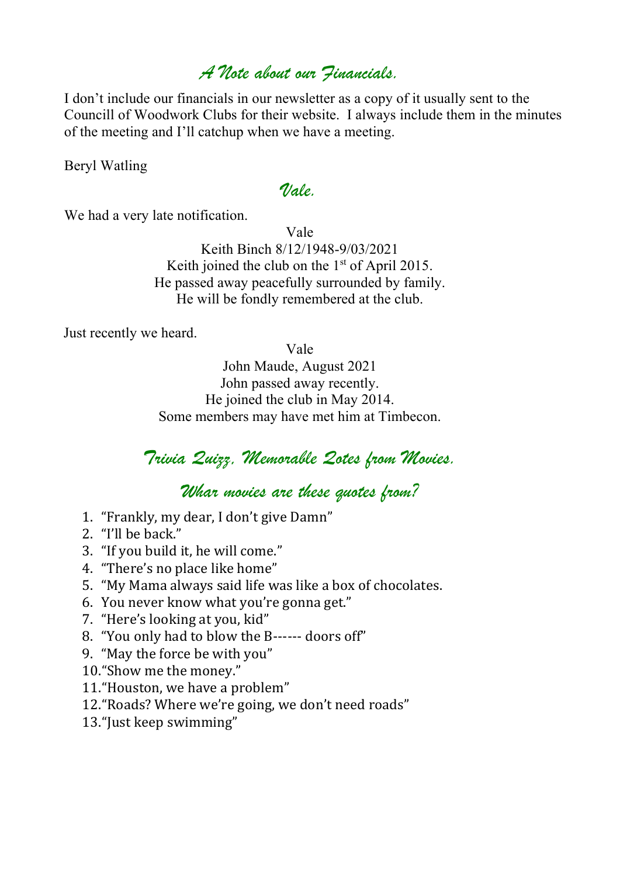#### *A Note about our Financials.*

I don't include our financials in our newsletter as a copy of it usually sent to the Councill of Woodwork Clubs for their website. I always include them in the minutes of the meeting and I'll catchup when we have a meeting.

Beryl Watling

#### *Vale.*

We had a very late notification.

Vale Keith Binch 8/12/1948-9/03/2021 Keith joined the club on the  $1<sup>st</sup>$  of April 2015. He passed away peacefully surrounded by family. He will be fondly remembered at the club.

Just recently we heard.

Vale

John Maude, August 2021 John passed away recently. He joined the club in May 2014. Some members may have met him at Timbecon.

## *Trivia Quizz, Memorable Qotes from Movies.*

*Whar movies are these quotes from?*

- 1. "Frankly, my dear, I don't give Damn"
- 2. "I'll be back."
- 3. "If you build it, he will come."
- 4. "There's no place like home"
- 5. "My Mama always said life was like a box of chocolates.
- 6. You never know what you're gonna get."
- 7. "Here's looking at you, kid"
- 8. "You only had to blow the B------ doors off"
- 9. "May the force be with you"
- 10."Show me the money."
- 11. "Houston, we have a problem"
- 12. "Roads? Where we're going, we don't need roads"
- 13. "Just keep swimming"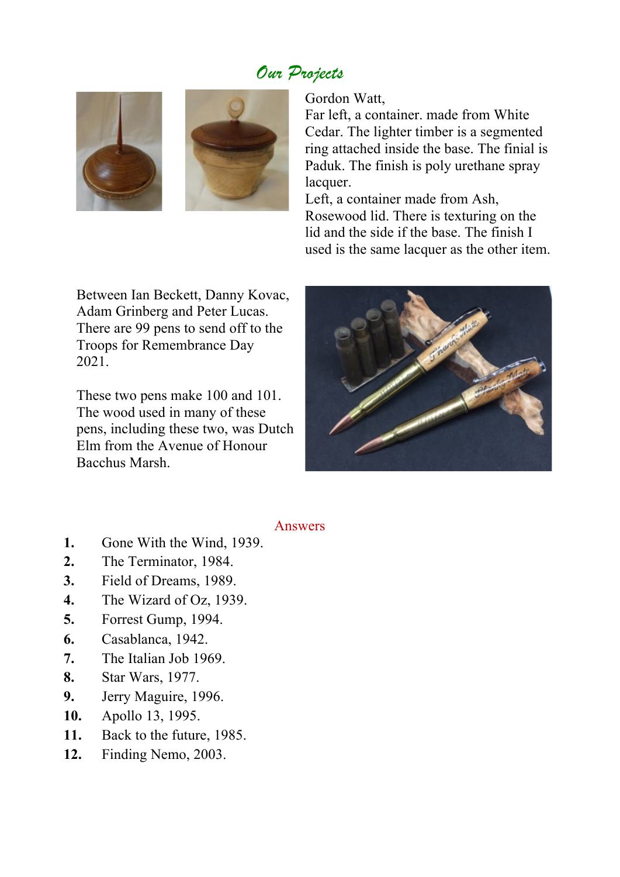## *Our Projects*





Gordon Watt,

Far left, a container. made from White Cedar. The lighter timber is a segmented ring attached inside the base. The finial is Paduk. The finish is poly urethane spray lacquer.

Left, a container made from Ash, Rosewood lid. There is texturing on the lid and the side if the base. The finish I used is the same lacquer as the other item.

Between Ian Beckett, Danny Kovac, Adam Grinberg and Peter Lucas. There are 99 pens to send off to the Troops for Remembrance Day 2021.

These two pens make 100 and 101. The wood used in many of these pens, including these two, was Dutch Elm from the Avenue of Honour Bacchus Marsh.



#### Answers

- **1.** Gone With the Wind, 1939.
- **2.** The Terminator, 1984.
- **3.** Field of Dreams, 1989.
- **4.** The Wizard of Oz, 1939.
- **5.** Forrest Gump, 1994.
- **6.** Casablanca, 1942.
- **7.** The Italian Job 1969.
- **8.** Star Wars, 1977.
- **9.** Jerry Maguire, 1996.
- **10.** Apollo 13, 1995.
- **11.** Back to the future, 1985.
- **12.** Finding Nemo, 2003.